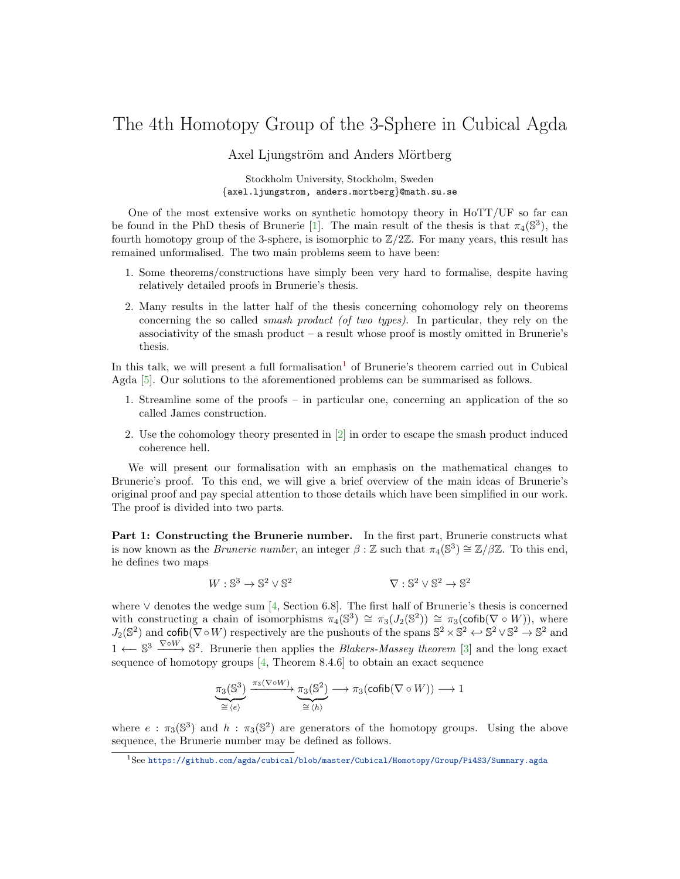## The 4th Homotopy Group of the 3-Sphere in Cubical Agda

Axel Ljungström and Anders Mörtberg

Stockholm University, Stockholm, Sweden {axel.ljungstrom, anders.mortberg}@math.su.se

One of the most extensive works on synthetic homotopy theory in HoTT/UF so far can be found in the PhD thesis of Brunerie [\[1\]](#page-2-0). The main result of the thesis is that  $\pi_4(\mathbb{S}^3)$ , the fourth homotopy group of the 3-sphere, is isomorphic to  $\mathbb{Z}/2\mathbb{Z}$ . For many years, this result has remained unformalised. The two main problems seem to have been:

- 1. Some theorems/constructions have simply been very hard to formalise, despite having relatively detailed proofs in Brunerie's thesis.
- 2. Many results in the latter half of the thesis concerning cohomology rely on theorems concerning the so called smash product (of two types). In particular, they rely on the associativity of the smash product – a result whose proof is mostly omitted in Brunerie's thesis.

In this talk, we will present a full formalisation<sup>[1](#page-0-0)</sup> of Brunerie's theorem carried out in Cubical Agda [\[5\]](#page-2-1). Our solutions to the aforementioned problems can be summarised as follows.

- 1. Streamline some of the proofs in particular one, concerning an application of the so called James construction.
- 2. Use the cohomology theory presented in [\[2\]](#page-2-2) in order to escape the smash product induced coherence hell.

We will present our formalisation with an emphasis on the mathematical changes to Brunerie's proof. To this end, we will give a brief overview of the main ideas of Brunerie's original proof and pay special attention to those details which have been simplified in our work. The proof is divided into two parts.

Part 1: Constructing the Brunerie number. In the first part, Brunerie constructs what is now known as the *Brunerie number*, an integer  $\beta$  : Z such that  $\pi_4(\mathbb{S}^3) \cong \mathbb{Z}/\beta\mathbb{Z}$ . To this end, he defines two maps

$$
W: \mathbb{S}^3 \to \mathbb{S}^2 \vee \mathbb{S}^2 \qquad \qquad \nabla: \mathbb{S}^2 \vee \mathbb{S}^2 \to \mathbb{S}^2
$$

where  $\vee$  denotes the wedge sum [\[4,](#page-2-3) Section 6.8]. The first half of Brunerie's thesis is concerned with constructing a chain of isomorphisms  $\pi_4(\mathbb{S}^3) \cong \pi_3(J_2(\mathbb{S}^2)) \cong \pi_3(\text{cofib}(\nabla \circ W))$ , where  $J_2(\mathbb{S}^2)$  and cofib( $\nabla \circ W$ ) respectively are the pushouts of the spans  $\mathbb{S}^2 \times \mathbb{S}^2 \leftrightarrow \mathbb{S}^2 \vee \mathbb{S}^2 \to \mathbb{S}^2$  and 1 ←  $\mathbb{S}^3$   $\xrightarrow{\nabla o W}$   $\mathbb{S}^2$ . Brunerie then applies the *Blakers-Massey theorem* [\[3\]](#page-2-4) and the long exact sequence of homotopy groups [\[4,](#page-2-3) Theorem 8.4.6] to obtain an exact sequence

$$
\underbrace{\pi_3(\mathbb{S}^3)}_{\cong \langle e \rangle} \xrightarrow{\pi_3(\nabla \circ W)} \underbrace{\pi_3(\mathbb{S}^2)}_{\cong \langle h \rangle} \longrightarrow \pi_3(\mathsf{cofib}(\nabla \circ W)) \longrightarrow 1
$$

where  $e : \pi_3(\mathbb{S}^3)$  and  $h : \pi_3(\mathbb{S}^2)$  are generators of the homotopy groups. Using the above sequence, the Brunerie number may be defined as follows.

<span id="page-0-0"></span><sup>1</sup>See <https://github.com/agda/cubical/blob/master/Cubical/Homotopy/Group/Pi4S3/Summary.agda>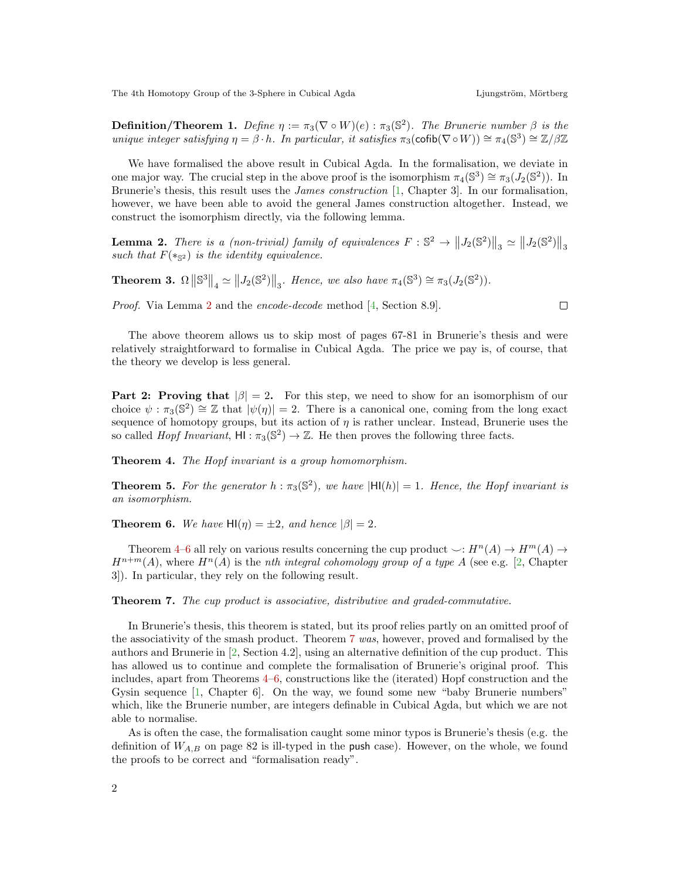The 4th Homotopy Group of the 3-Sphere in Cubical Agda Ljungström, Mörtberg

**Definition/Theorem 1.** Define  $\eta := \pi_3(\nabla \circ W)(e) : \pi_3(\mathbb{S}^2)$ . The Brunerie number  $\beta$  is the unique integer satisfying  $\eta = \beta \cdot h$ . In particular, it satisfies  $\pi_3(\text{cofib}(\nabla \circ W)) \cong \pi_4(\mathbb{S}^3) \cong \mathbb{Z}/\beta\mathbb{Z}$ 

We have formalised the above result in Cubical Agda. In the formalisation, we deviate in one major way. The crucial step in the above proof is the isomorphism  $\pi_4(\mathbb{S}^3) \cong \pi_3(J_2(\mathbb{S}^2))$ . In Brunerie's thesis, this result uses the James construction [\[1,](#page-2-0) Chapter 3]. In our formalisation, however, we have been able to avoid the general James construction altogether. Instead, we construct the isomorphism directly, via the following lemma.

<span id="page-1-0"></span>**Lemma 2.** There is a (non-trivial) family of equivalences  $F : \mathbb{S}^2 \to ||J_2(\mathbb{S}^2)||_3 \simeq ||J_2(\mathbb{S}^2)||_3$ such that  $F(*_{\mathbb{S}^2})$  is the identity equivalence.

**Theorem 3.**  $\Omega \|\mathbb{S}^3\|_4 \simeq \|J_2(\mathbb{S}^2)\|_3$ . Hence, we also have  $\pi_4(\mathbb{S}^3) \cong \pi_3(J_2(\mathbb{S}^2))$ .

Proof. Via Lemma [2](#page-1-0) and the encode-decode method [\[4,](#page-2-3) Section 8.9].

The above theorem allows us to skip most of pages 67-81 in Brunerie's thesis and were relatively straightforward to formalise in Cubical Agda. The price we pay is, of course, that the theory we develop is less general.

**Part 2: Proving that**  $|\beta| = 2$ . For this step, we need to show for an isomorphism of our choice  $\psi : \pi_3(\mathbb{S}^2) \cong \mathbb{Z}$  that  $|\psi(\eta)| = 2$ . There is a canonical one, coming from the long exact sequence of homotopy groups, but its action of  $\eta$  is rather unclear. Instead, Brunerie uses the so called *Hopf Invariant*,  $HI : \pi_3(\mathbb{S}^2) \to \mathbb{Z}$ . He then proves the following three facts.

<span id="page-1-1"></span>Theorem 4. The Hopf invariant is a group homomorphism.

**Theorem 5.** For the generator  $h : \pi_3(\mathbb{S}^2)$ , we have  $|H(h)| = 1$ . Hence, the Hopf invariant is an isomorphism.

<span id="page-1-2"></span>**Theorem 6.** We have  $H(\eta) = \pm 2$ , and hence  $|\beta| = 2$ .

Theorem [4–](#page-1-1)[6](#page-1-2) all rely on various results concerning the cup product  $\smile: H^n(A) \to H^m(A) \to$  $H^{n+m}(A)$ , where  $H^n(A)$  is the *nth integral cohomology group of a type A* (see e.g. [\[2,](#page-2-2) Chapter 3]). In particular, they rely on the following result.

<span id="page-1-3"></span>Theorem 7. The cup product is associative, distributive and graded-commutative.

In Brunerie's thesis, this theorem is stated, but its proof relies partly on an omitted proof of the associativity of the smash product. Theorem [7](#page-1-3) was, however, proved and formalised by the authors and Brunerie in [\[2,](#page-2-2) Section 4.2], using an alternative definition of the cup product. This has allowed us to continue and complete the formalisation of Brunerie's original proof. This includes, apart from Theorems [4–](#page-1-1)[6,](#page-1-2) constructions like the (iterated) Hopf construction and the Gysin sequence [\[1,](#page-2-0) Chapter 6]. On the way, we found some new "baby Brunerie numbers" which, like the Brunerie number, are integers definable in Cubical Agda, but which we are not able to normalise.

As is often the case, the formalisation caught some minor typos is Brunerie's thesis (e.g. the definition of  $W_{A,B}$  on page 82 is ill-typed in the push case). However, on the whole, we found the proofs to be correct and "formalisation ready".

 $\Box$